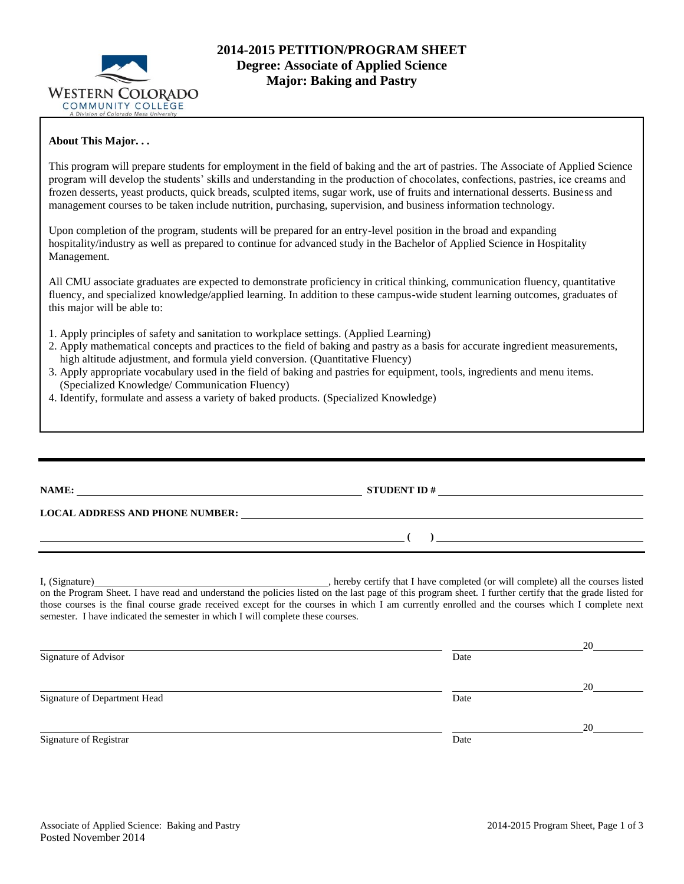

### **About This Major. . .**

This program will prepare students for employment in the field of baking and the art of pastries. The Associate of Applied Science program will develop the students' skills and understanding in the production of chocolates, confections, pastries, ice creams and frozen desserts, yeast products, quick breads, sculpted items, sugar work, use of fruits and international desserts. Business and management courses to be taken include nutrition, purchasing, supervision, and business information technology.

Upon completion of the program, students will be prepared for an entry-level position in the broad and expanding hospitality/industry as well as prepared to continue for advanced study in the Bachelor of Applied Science in Hospitality Management.

All CMU associate graduates are expected to demonstrate proficiency in critical thinking, communication fluency, quantitative fluency, and specialized knowledge/applied learning. In addition to these campus-wide student learning outcomes, graduates of this major will be able to:

- 1. Apply principles of safety and sanitation to workplace settings. (Applied Learning)
- 2. Apply mathematical concepts and practices to the field of baking and pastry as a basis for accurate ingredient measurements, high altitude adjustment, and formula yield conversion. (Quantitative Fluency)
- 3. Apply appropriate vocabulary used in the field of baking and pastries for equipment, tools, ingredients and menu items. (Specialized Knowledge/ Communication Fluency)
- 4. Identify, formulate and assess a variety of baked products. (Specialized Knowledge)

semester. I have indicated the semester in which I will complete these courses.

| LOCAL ADDRESS AND PHONE NUMBER: University of the contract of the contract of the contract of the contract of the contract of the contract of the contract of the contract of the contract of the contract of the contract of                                                                              |
|------------------------------------------------------------------------------------------------------------------------------------------------------------------------------------------------------------------------------------------------------------------------------------------------------------|
| $\left(\begin{array}{c}\right)$                                                                                                                                                                                                                                                                            |
| on the Program Sheet. I have read and understand the policies listed on the last page of this program sheet. I further certify that the grade listed for<br>those courses is the final course grade received except for the courses in which I am currently enrolled and the courses which I complete next |

|                              |      | 20 |
|------------------------------|------|----|
| Signature of Advisor         | Date |    |
|                              |      | 20 |
| Signature of Department Head | Date |    |
|                              |      | 20 |
| Signature of Registrar       | Date |    |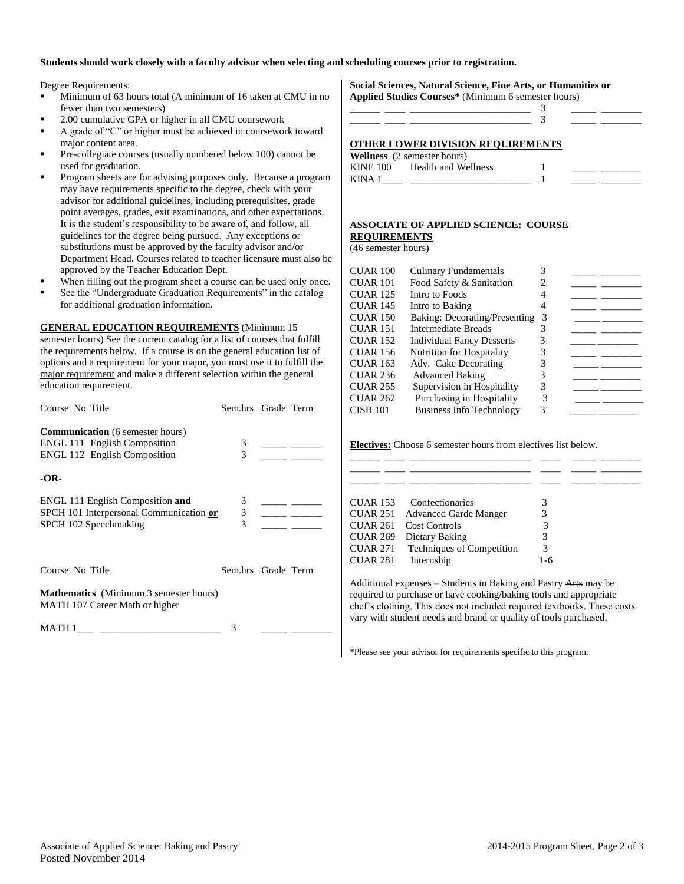#### **Students should work closely with a faculty advisor when selecting and scheduling courses prior to registration.**

Degree Requirements:

- Minimum of 63 hours total (A minimum of 16 taken at CMU in no fewer than two semesters)
- 2.00 cumulative GPA or higher in all CMU coursework
- A grade of "C" or higher must be achieved in coursework toward major content area.
- Pre-collegiate courses (usually numbered below 100) cannot be used for graduation.
- Program sheets are for advising purposes only. Because a program may have requirements specific to the degree, check with your advisor for additional guidelines, including prerequisites, grade point averages, grades, exit examinations, and other expectations. It is the student's responsibility to be aware of, and follow, all guidelines for the degree being pursued. Any exceptions or substitutions must be approved by the faculty advisor and/or Department Head. Courses related to teacher licensure must also be approved by the Teacher Education Dept.
- When filling out the program sheet a course can be used only once.
- See the "Undergraduate Graduation Requirements" in the catalog for additional graduation information.

#### **GENERAL EDUCATION REQUIREMENTS** (Minimum 15

semester hours) See the current catalog for a list of courses that fulfill the requirements below. If a course is on the general education list of options and a requirement for your major, you must use it to fulfill the major requirement and make a different selection within the general education requirement.

| Course No Title                                                                                         | Sem.hrs Grade Term                                    |  |
|---------------------------------------------------------------------------------------------------------|-------------------------------------------------------|--|
| <b>Communication</b> (6 semester hours)<br>ENGL 111 English Composition<br>ENGL 112 English Composition | 3<br>3                                                |  |
| -OR-                                                                                                    |                                                       |  |
| ENGL 111 English Composition and<br>SPCH 101 Interpersonal Communication or<br>SPCH 102 Speechmaking    | $\begin{array}{c} 3 \\ 3 \end{array}$<br>$\mathbf{3}$ |  |
| Course No Title                                                                                         | Sem.hrs Grade Term                                    |  |
| <b>Mathematics</b> (Minimum 3 semester hours)<br>MATH 107 Career Math or higher                         |                                                       |  |
| MATH 1                                                                                                  | 3                                                     |  |

#### **Social Sciences, Natural Science, Fine Arts, or Humanities or Applied Studies Courses\*** (Minimum 6 semester hours)

| $A$ put $B$ studies Courses (Trimming b semester from s) |  |  |
|----------------------------------------------------------|--|--|
|                                                          |  |  |
|                                                          |  |  |
|                                                          |  |  |

## **OTHER LOWER DIVISION REQUIREMENTS**

|          | <b>Wellness</b> (2 semester hours) |  |  |
|----------|------------------------------------|--|--|
| KINE 100 | Health and Wellness                |  |  |
| KINA 1   |                                    |  |  |

## **ASSOCIATE OF APPLIED SCIENCE: COURSE**

**REQUIREMENTS** (46 semester hours)

| CUAR 100        | <b>Culinary Fundamentals</b>     | 3 |  |
|-----------------|----------------------------------|---|--|
| CUAR 101        | Food Safety & Sanitation         |   |  |
| <b>CUAR 125</b> | Intro to Foods                   |   |  |
| <b>CUAR 145</b> | Intro to Baking                  |   |  |
| <b>CUAR 150</b> | Baking: Decorating/Presenting    | 3 |  |
| <b>CUAR 151</b> | Intermediate Breads              |   |  |
| <b>CUAR 152</b> | <b>Individual Fancy Desserts</b> |   |  |
| <b>CUAR 156</b> | <b>Nutrition for Hospitality</b> | 3 |  |
| <b>CUAR 163</b> | Adv. Cake Decorating             |   |  |
| <b>CUAR 236</b> | <b>Advanced Baking</b>           | 3 |  |
| <b>CUAR 255</b> | Supervision in Hospitality       | 3 |  |
| <b>CUAR 262</b> | Purchasing in Hospitality        |   |  |
| <b>CISB 101</b> | <b>Business Info Technology</b>  |   |  |

**Electives:** Choose 6 semester hours from electives list below.

| Confectionaries<br><b>CUAR 153</b>              | 3   |
|-------------------------------------------------|-----|
| <b>CUAR 251</b><br><b>Advanced Garde Manger</b> |     |
| <b>CUAR 261</b><br>Cost Controls                | 3   |
| <b>CUAR 269</b><br>Dietary Baking               | 3   |
| Techniques of Competition<br><b>CUAR 271</b>    | 3   |
| <b>CUAR 281</b><br>Internship                   | 1-6 |

Additional expenses – Students in Baking and Pastry Arts may be required to purchase or have cooking/baking tools and appropriate chef's clothing. This does not included required textbooks. These costs vary with student needs and brand or quality of tools purchased.

\*Please see your advisor for requirements specific to this program.